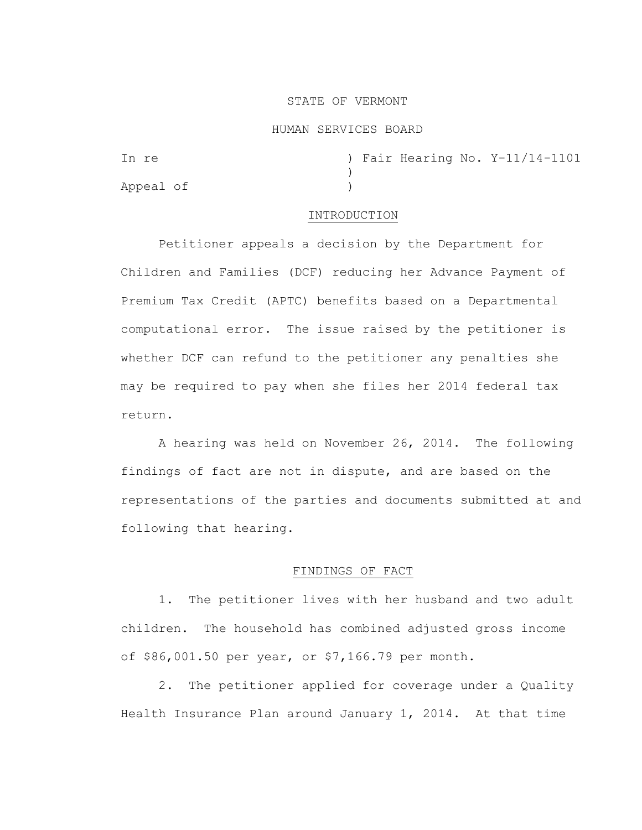### STATE OF VERMONT

#### HUMAN SERVICES BOARD

| In re     |  |  | ) Fair Hearing No. Y-11/14-1101 |
|-----------|--|--|---------------------------------|
|           |  |  |                                 |
| Appeal of |  |  |                                 |

### INTRODUCTION

Petitioner appeals a decision by the Department for Children and Families (DCF) reducing her Advance Payment of Premium Tax Credit (APTC) benefits based on a Departmental computational error. The issue raised by the petitioner is whether DCF can refund to the petitioner any penalties she may be required to pay when she files her 2014 federal tax return.

A hearing was held on November 26, 2014. The following findings of fact are not in dispute, and are based on the representations of the parties and documents submitted at and following that hearing.

# FINDINGS OF FACT

1. The petitioner lives with her husband and two adult children. The household has combined adjusted gross income of \$86,001.50 per year, or \$7,166.79 per month.

2. The petitioner applied for coverage under a Quality Health Insurance Plan around January 1, 2014. At that time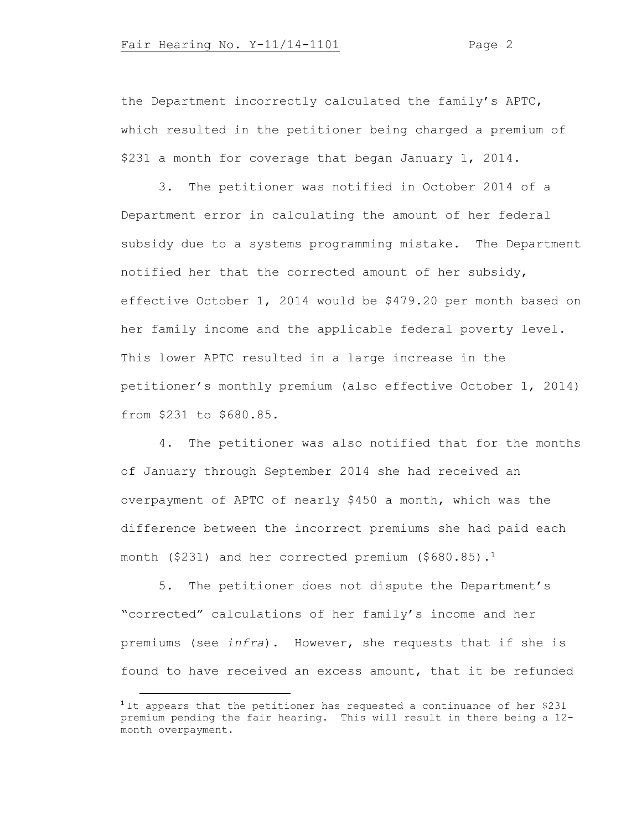the Department incorrectly calculated the family's APTC, which resulted in the petitioner being charged a premium of \$231 a month for coverage that began January 1, 2014.

3. The petitioner was notified in October 2014 of a Department error in calculating the amount of her federal subsidy due to a systems programming mistake. The Department notified her that the corrected amount of her subsidy, effective October 1, 2014 would be \$479.20 per month based on her family income and the applicable federal poverty level. This lower APTC resulted in a large increase in the petitioner's monthly premium (also effective October 1, 2014) from \$231 to \$680.85.

4. The petitioner was also notified that for the months of January through September 2014 she had received an overpayment of APTC of nearly \$450 a month, which was the difference between the incorrect premiums she had paid each month (\$231) and her corrected premium (\$680.85).<sup>1</sup>

5. The petitioner does not dispute the Department's "corrected" calculations of her family's income and her premiums (see *infra*). However, she requests that if she is found to have received an excess amount, that it be refunded

<sup>&</sup>lt;sup>1</sup> It appears that the petitioner has requested a continuance of her \$231 premium pending the fair hearing. This will result in there being a 12 month overpayment.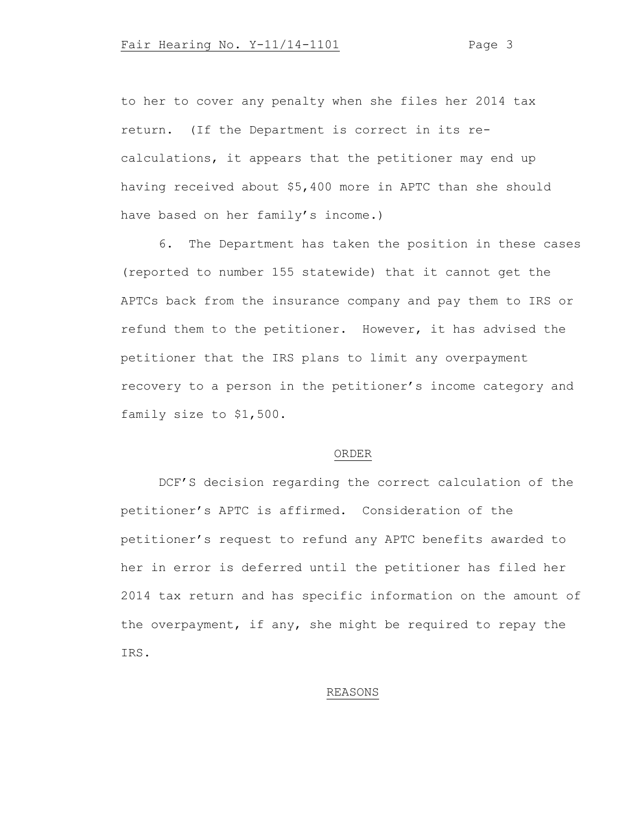to her to cover any penalty when she files her 2014 tax return. (If the Department is correct in its recalculations, it appears that the petitioner may end up having received about \$5,400 more in APTC than she should have based on her family's income.)

6. The Department has taken the position in these cases (reported to number 155 statewide) that it cannot get the APTCs back from the insurance company and pay them to IRS or refund them to the petitioner. However, it has advised the petitioner that the IRS plans to limit any overpayment recovery to a person in the petitioner's income category and family size to \$1,500.

#### ORDER

DCF'S decision regarding the correct calculation of the petitioner's APTC is affirmed. Consideration of the petitioner's request to refund any APTC benefits awarded to her in error is deferred until the petitioner has filed her 2014 tax return and has specific information on the amount of the overpayment, if any, she might be required to repay the IRS.

## REASONS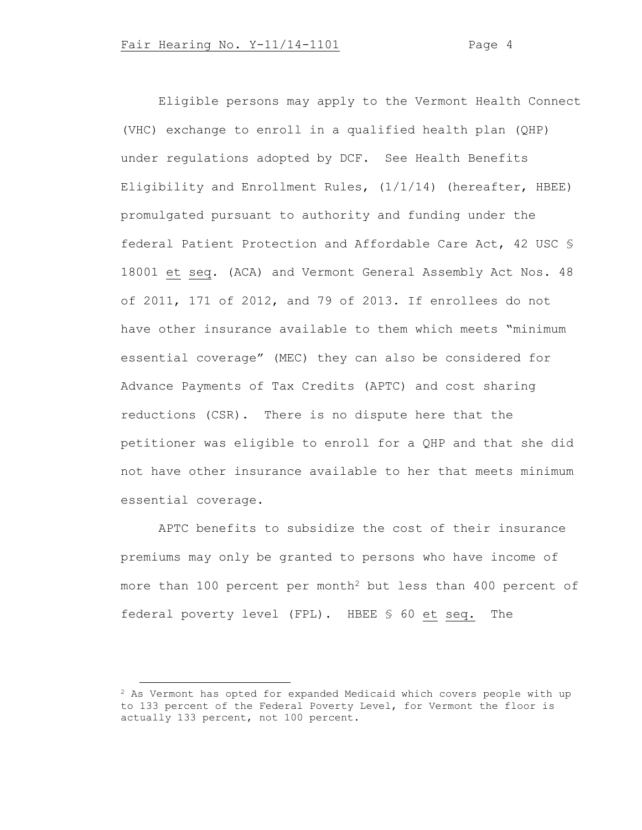Eligible persons may apply to the Vermont Health Connect (VHC) exchange to enroll in a qualified health plan (QHP) under regulations adopted by DCF. See Health Benefits Eligibility and Enrollment Rules, (1/1/14) (hereafter, HBEE) promulgated pursuant to authority and funding under the federal Patient Protection and Affordable Care Act, 42 USC § 18001 et seq. (ACA) and Vermont General Assembly Act Nos. 48 of 2011, 171 of 2012, and 79 of 2013. If enrollees do not have other insurance available to them which meets "minimum essential coverage" (MEC) they can also be considered for Advance Payments of Tax Credits (APTC) and cost sharing reductions (CSR). There is no dispute here that the petitioner was eligible to enroll for a QHP and that she did not have other insurance available to her that meets minimum essential coverage.

APTC benefits to subsidize the cost of their insurance premiums may only be granted to persons who have income of more than 100 percent per month<sup>2</sup> but less than 400 percent of federal poverty level (FPL). HBEE § 60 et seq. The

<sup>2</sup> As Vermont has opted for expanded Medicaid which covers people with up to 133 percent of the Federal Poverty Level, for Vermont the floor is actually 133 percent, not 100 percent.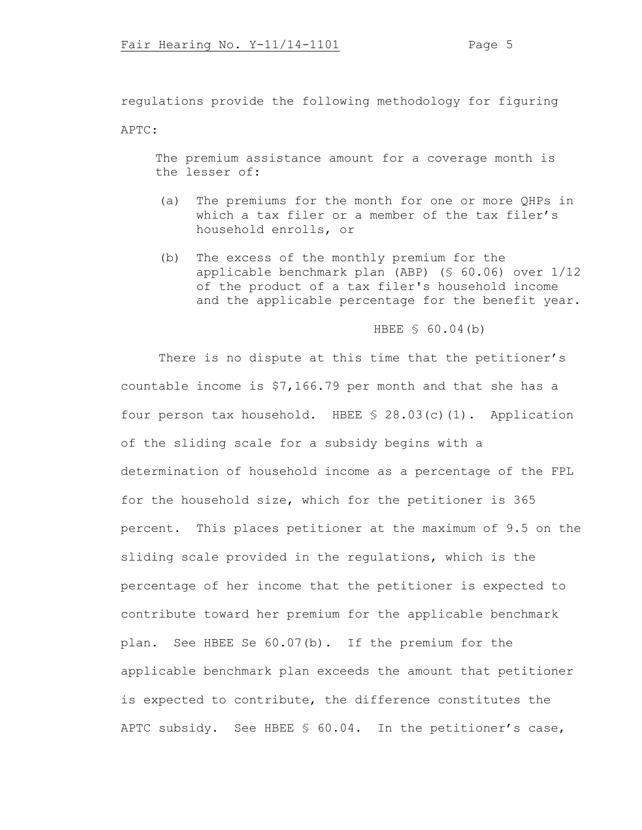regulations provide the following methodology for figuring

APTC:

The premium assistance amount for a coverage month is the lesser of:

- (a) The premiums for the month for one or more QHPs in which a tax filer or a member of the tax filer's household enrolls, or
- (b) The excess of the monthly premium for the applicable benchmark plan (ABP) (§ 60.06) over 1/12 of the product of a tax filer's household income and the applicable percentage for the benefit year.

# HBEE § 60.04(b)

There is no dispute at this time that the petitioner's countable income is \$7,166.79 per month and that she has a four person tax household. HBEE § 28.03(c)(1). Application of the sliding scale for a subsidy begins with a determination of household income as a percentage of the FPL for the household size, which for the petitioner is 365 percent. This places petitioner at the maximum of 9.5 on the sliding scale provided in the regulations, which is the percentage of her income that the petitioner is expected to contribute toward her premium for the applicable benchmark plan. See HBEE Se 60.07(b). If the premium for the applicable benchmark plan exceeds the amount that petitioner is expected to contribute, the difference constitutes the APTC subsidy. See HBEE § 60.04. In the petitioner's case,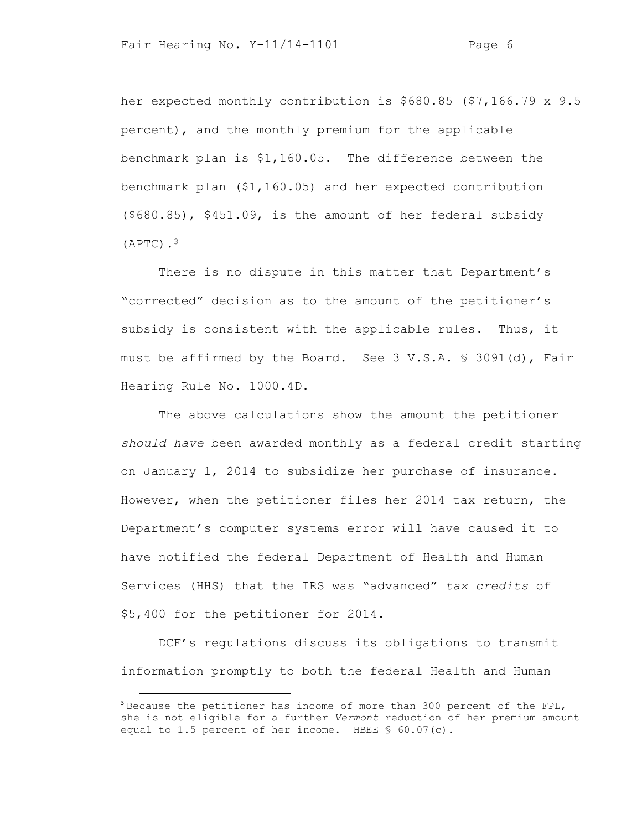her expected monthly contribution is \$680.85 (\$7,166.79 x 9.5 percent), and the monthly premium for the applicable benchmark plan is \$1,160.05. The difference between the benchmark plan (\$1,160.05) and her expected contribution (\$680.85), \$451.09, is the amount of her federal subsidy  $(APTC)$ .<sup>3</sup>

There is no dispute in this matter that Department's "corrected" decision as to the amount of the petitioner's subsidy is consistent with the applicable rules. Thus, it must be affirmed by the Board. See 3 V.S.A. § 3091(d), Fair Hearing Rule No. 1000.4D.

The above calculations show the amount the petitioner *should have* been awarded monthly as a federal credit starting on January 1, 2014 to subsidize her purchase of insurance. However, when the petitioner files her 2014 tax return, the Department's computer systems error will have caused it to have notified the federal Department of Health and Human Services (HHS) that the IRS was "advanced" *tax credits* of \$5,400 for the petitioner for 2014.

DCF's regulations discuss its obligations to transmit information promptly to both the federal Health and Human

<sup>3</sup> Because the petitioner has income of more than 300 percent of the FPL, she is not eligible for a further *Vermont* reduction of her premium amount equal to 1.5 percent of her income. HBEE § 60.07(c).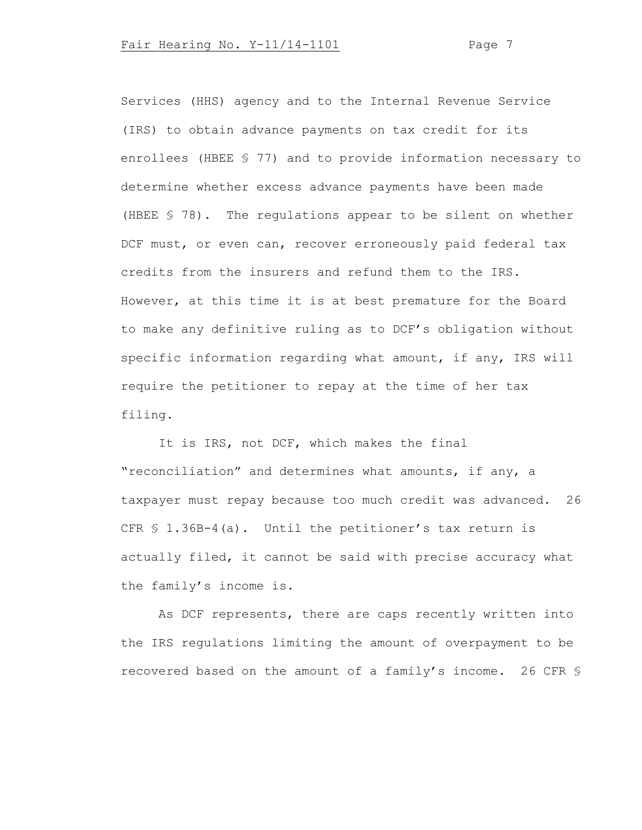Services (HHS) agency and to the Internal Revenue Service (IRS) to obtain advance payments on tax credit for its enrollees (HBEE § 77) and to provide information necessary to determine whether excess advance payments have been made (HBEE § 78). The regulations appear to be silent on whether DCF must, or even can, recover erroneously paid federal tax credits from the insurers and refund them to the IRS. However, at this time it is at best premature for the Board to make any definitive ruling as to DCF's obligation without specific information regarding what amount, if any, IRS will require the petitioner to repay at the time of her tax filing.

It is IRS, not DCF, which makes the final "reconciliation" and determines what amounts, if any, a taxpayer must repay because too much credit was advanced. 26 CFR § 1.36B-4(a). Until the petitioner's tax return is actually filed, it cannot be said with precise accuracy what the family's income is.

As DCF represents, there are caps recently written into the IRS regulations limiting the amount of overpayment to be recovered based on the amount of a family's income. 26 CFR §